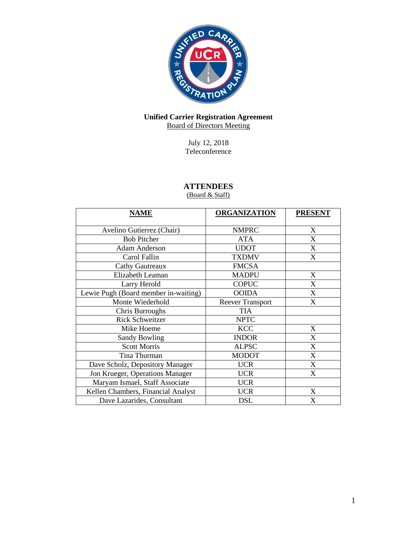

# **Unified Carrier Registration Agreement**

Board of Directors Meeting

July 12, 2018 Teleconference

# **ATTENDEES**

# (Board & Staff)

| <b>NAME</b>                          | <b>ORGANIZATION</b>     | <b>PRESENT</b>            |
|--------------------------------------|-------------------------|---------------------------|
| Avelino Gutierrez (Chair)            | <b>NMPRC</b>            | X                         |
| <b>Bob Pitcher</b>                   | <b>ATA</b>              | X                         |
| <b>Adam Anderson</b>                 | <b>UDOT</b>             | X                         |
| Carol Fallin                         | <b>TXDMV</b>            | $\boldsymbol{\mathrm{X}}$ |
| <b>Cathy Gautreaux</b>               | <b>FMCSA</b>            |                           |
| Elizabeth Leaman                     | <b>MADPU</b>            | X                         |
| Larry Herold                         | <b>COPUC</b>            | X                         |
| Lewie Pugh (Board member in-waiting) | <b>OOIDA</b>            | X                         |
| Monte Wiederhold                     | <b>Reever Transport</b> | X                         |
| Chris Burroughs                      | <b>TIA</b>              |                           |
| <b>Rick Schweitzer</b>               | <b>NPTC</b>             |                           |
| Mike Hoeme                           | <b>KCC</b>              | X                         |
| <b>Sandy Bowling</b>                 | <b>INDOR</b>            | X                         |
| <b>Scott Morris</b>                  | <b>ALPSC</b>            | X                         |
| Tina Thurman                         | <b>MODOT</b>            | X                         |
| Dave Scholz, Depository Manager      | <b>UCR</b>              | X                         |
| Jon Krueger, Operations Manager      | <b>UCR</b>              | X                         |
| Maryam Ismael, Staff Associate       | <b>UCR</b>              |                           |
| Kellen Chambers, Financial Analyst   | <b>UCR</b>              | X                         |
| Dave Lazarides, Consultant           | <b>DSL</b>              | X                         |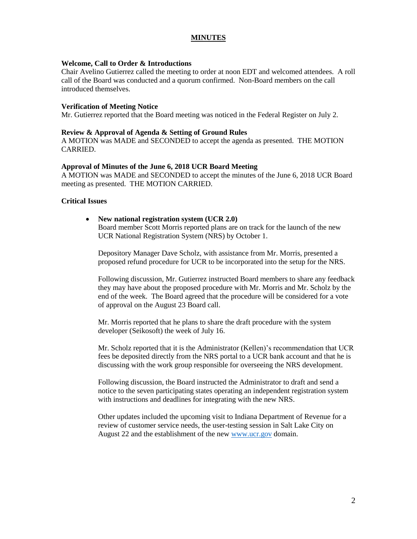# **MINUTES**

# **Welcome, Call to Order & Introductions**

Chair Avelino Gutierrez called the meeting to order at noon EDT and welcomed attendees. A roll call of the Board was conducted and a quorum confirmed. Non-Board members on the call introduced themselves.

#### **Verification of Meeting Notice**

Mr. Gutierrez reported that the Board meeting was noticed in the Federal Register on July 2.

#### **Review & Approval of Agenda & Setting of Ground Rules**

A MOTION was MADE and SECONDED to accept the agenda as presented. THE MOTION CARRIED.

# **Approval of Minutes of the June 6, 2018 UCR Board Meeting**

A MOTION was MADE and SECONDED to accept the minutes of the June 6, 2018 UCR Board meeting as presented. THE MOTION CARRIED.

# **Critical Issues**

 **New national registration system (UCR 2.0)** Board member Scott Morris reported plans are on track for the launch of the new UCR National Registration System (NRS) by October 1.

Depository Manager Dave Scholz, with assistance from Mr. Morris, presented a proposed refund procedure for UCR to be incorporated into the setup for the NRS.

Following discussion, Mr. Gutierrez instructed Board members to share any feedback they may have about the proposed procedure with Mr. Morris and Mr. Scholz by the end of the week. The Board agreed that the procedure will be considered for a vote of approval on the August 23 Board call.

Mr. Morris reported that he plans to share the draft procedure with the system developer (Seikosoft) the week of July 16.

Mr. Scholz reported that it is the Administrator (Kellen)'s recommendation that UCR fees be deposited directly from the NRS portal to a UCR bank account and that he is discussing with the work group responsible for overseeing the NRS development.

Following discussion, the Board instructed the Administrator to draft and send a notice to the seven participating states operating an independent registration system with instructions and deadlines for integrating with the new NRS.

Other updates included the upcoming visit to Indiana Department of Revenue for a review of customer service needs, the user-testing session in Salt Lake City on August 22 and the establishment of the new [www.ucr.gov](http://www.ucr.gov/) domain.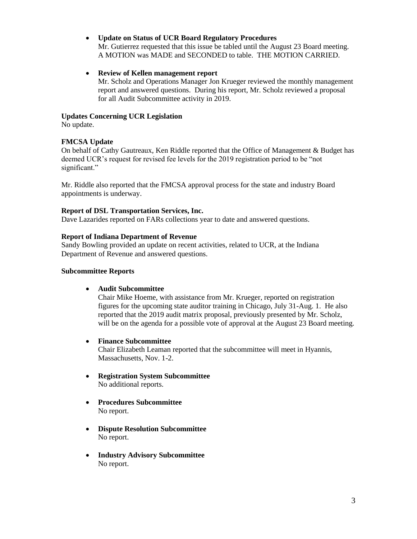# **Update on Status of UCR Board Regulatory Procedures**

Mr. Gutierrez requested that this issue be tabled until the August 23 Board meeting. A MOTION was MADE and SECONDED to table. THE MOTION CARRIED.

# **Review of Kellen management report**

Mr. Scholz and Operations Manager Jon Krueger reviewed the monthly management report and answered questions. During his report, Mr. Scholz reviewed a proposal for all Audit Subcommittee activity in 2019.

# **Updates Concerning UCR Legislation**

No update.

# **FMCSA Update**

On behalf of Cathy Gautreaux, Ken Riddle reported that the Office of Management & Budget has deemed UCR's request for revised fee levels for the 2019 registration period to be "not significant."

Mr. Riddle also reported that the FMCSA approval process for the state and industry Board appointments is underway.

# **Report of DSL Transportation Services, Inc.**

Dave Lazarides reported on FARs collections year to date and answered questions.

# **Report of Indiana Department of Revenue**

Sandy Bowling provided an update on recent activities, related to UCR, at the Indiana Department of Revenue and answered questions.

#### **Subcommittee Reports**

**Audit Subcommittee**

Chair Mike Hoeme, with assistance from Mr. Krueger, reported on registration figures for the upcoming state auditor training in Chicago, July 31-Aug. 1. He also reported that the 2019 audit matrix proposal, previously presented by Mr. Scholz, will be on the agenda for a possible vote of approval at the August 23 Board meeting.

- **Finance Subcommittee**  Chair Elizabeth Leaman reported that the subcommittee will meet in Hyannis, Massachusetts, Nov. 1-2.
- **Registration System Subcommittee** No additional reports.
- **Procedures Subcommittee**  No report.
- **Dispute Resolution Subcommittee** No report.
- **Industry Advisory Subcommittee**  No report.